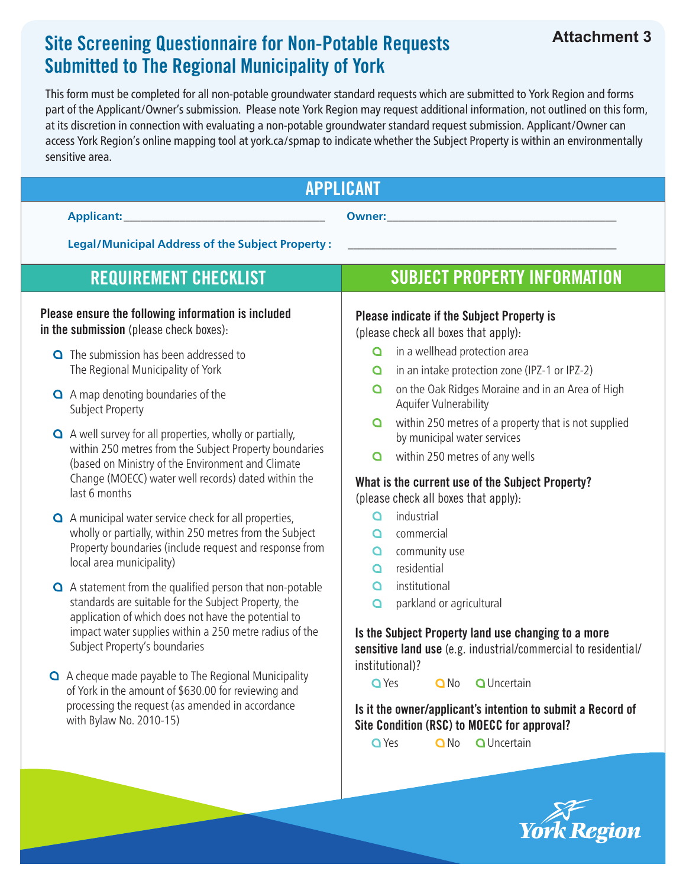## Site Screening Questionnaire for Non-Potable Requests Submitted to The Regional Municipality of York

This form must be completed for all non-potable groundwater standard requests which are submitted to York Region and forms part of the Applicant/Owner's submission. Please note York Region may request additional information, not outlined on this form, at its discretion in connection with evaluating a non-potable groundwater standard request submission. Applicant/Owner can access York Region's online mapping tool at york.ca/spmap to indicate whether the Subject Property is within an environmentally sensitive area.

| <b>APPLICANT</b>                                                                                                                                                                                                                                                 |                                                                                                                                                                                                                                     |  |  |
|------------------------------------------------------------------------------------------------------------------------------------------------------------------------------------------------------------------------------------------------------------------|-------------------------------------------------------------------------------------------------------------------------------------------------------------------------------------------------------------------------------------|--|--|
| Applicant:<br><u> 1989 - John Barn Barn, mars and de Branch Barn, mars and de Branch Barn, mars and de Branch Barn, mars and de</u>                                                                                                                              | <b>Owner:</b> We are a serious contract to the contract of the contract of the contract of the contract of the contract of the contract of the contract of the contract of the contract of the contract of the contract of the cont |  |  |
| <b>Legal/Municipal Address of the Subject Property:</b>                                                                                                                                                                                                          |                                                                                                                                                                                                                                     |  |  |
| <b>REQUIREMENT CHECKLIST</b>                                                                                                                                                                                                                                     | <b>SUBJECT PROPERTY INFORMATION</b>                                                                                                                                                                                                 |  |  |
| Please ensure the following information is included<br>in the submission (please check boxes):                                                                                                                                                                   | <b>Please indicate if the Subject Property is</b><br>(please check all boxes that apply):                                                                                                                                           |  |  |
| <b>Q</b> The submission has been addressed to<br>The Regional Municipality of York                                                                                                                                                                               | in a wellhead protection area<br>O<br>in an intake protection zone (IPZ-1 or IPZ-2)<br>Q                                                                                                                                            |  |  |
| A map denoting boundaries of the<br><b>Subject Property</b>                                                                                                                                                                                                      | on the Oak Ridges Moraine and in an Area of High<br>Q<br>Aquifer Vulnerability                                                                                                                                                      |  |  |
| A well survey for all properties, wholly or partially,<br>within 250 metres from the Subject Property boundaries<br>(based on Ministry of the Environment and Climate<br>Change (MOECC) water well records) dated within the                                     | within 250 metres of a property that is not supplied<br>Q<br>by municipal water services<br>within 250 metres of any wells<br>O<br>What is the current use of the Subject Property?                                                 |  |  |
| last 6 months<br>A municipal water service check for all properties,<br>wholly or partially, within 250 metres from the Subject<br>Property boundaries (include request and response from<br>local area municipality)                                            | (please check all boxes that apply):<br>industrial<br>$\Omega$<br>commercial<br>Q<br>community use<br>Q<br>residential<br>Q                                                                                                         |  |  |
| A statement from the qualified person that non-potable<br>standards are suitable for the Subject Property, the<br>application of which does not have the potential to<br>impact water supplies within a 250 metre radius of the<br>Subject Property's boundaries | institutional<br>Q<br>parkland or agricultural<br>Q<br>Is the Subject Property land use changing to a more<br>sensitive land use (e.g. industrial/commercial to residential/                                                        |  |  |
| A cheque made payable to The Regional Municipality<br>of York in the amount of \$630.00 for reviewing and<br>processing the request (as amended in accordance<br>with Bylaw No. 2010-15)                                                                         | institutional)?<br><b>Q</b> Uncertain<br>Q Yes<br>$Q$ No<br>Is it the owner/applicant's intention to submit a Record of<br>Site Condition (RSC) to MOECC for approval?<br><b>Q</b> Uncertain<br>Q Yes<br>$Q$ No                     |  |  |
|                                                                                                                                                                                                                                                                  |                                                                                                                                                                                                                                     |  |  |